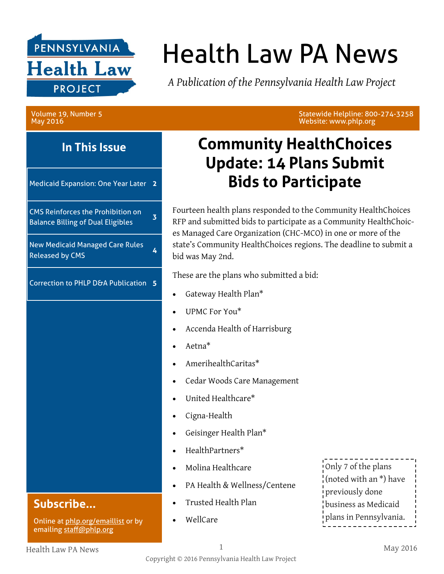

# Health Law PA News

*A Publication of the Pennsylvania Health Law Project*

Volume 19, Number 5 May 2016

Statewide Helpline: 800-274-3258 Website: www.phlp.org

### **In This Issue**

Medicaid Expansion: One Year Later **2**

CMS Reinforces the Prohibition on Balance Billing of Dual Eligibles **<sup>3</sup>**

New Medicaid Managed Care Rules Released by CMS **4** 

Correction to PHLP D&A Publication **5**

#### **Subscribe...**

Online at [phlp.org/emaillist](http://www.phlp.org/home-page/emaillist) or by emailing [staff@phlp.org](mailto:staff@phlp.org)

### **Community HealthChoices Update: 14 Plans Submit Bids to Participate**

Fourteen health plans responded to the Community HealthChoices RFP and submitted bids to participate as a Community HealthChoices Managed Care Organization (CHC-MCO) in one or more of the state's Community HealthChoices regions. The deadline to submit a bid was May 2nd.

These are the plans who submitted a bid:

- Gateway Health Plan\*
- UPMC For You\*
- Accenda Health of Harrisburg
- Aetna\*
- AmerihealthCaritas\*
- Cedar Woods Care Management
- United Healthcare\*
- Cigna-Health
- Geisinger Health Plan\*
- HealthPartners\*
- Molina Healthcare
- PA Health & Wellness/Centene
- Trusted Health Plan
- WellCare

Only 7 of the plans (noted with an \*) have previously done business as Medicaid plans in Pennsylvania.

#### Health Law PA News 1

#### Copyright © 2016 Pennsylvania Health Law Project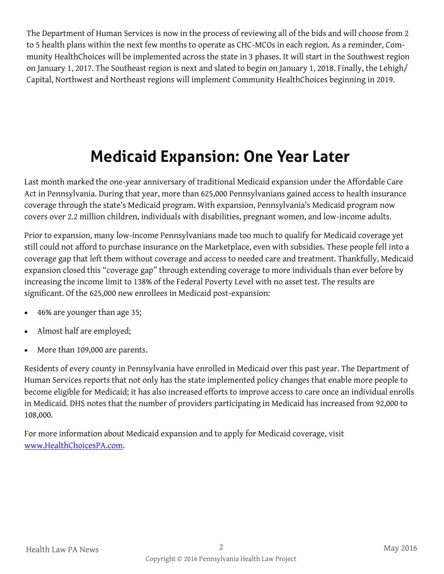The Department of Human Services is now in the process of reviewing all of the bids and will choose from 2 to 5 health plans within the next few months to operate as CHC-MCOs in each region. As a reminder, Community HealthChoices will be implemented across the state in 3 phases. It will start in the Southwest region on January 1, 2017. The Southeast region is next and slated to begin on January 1, 2018. Finally, the Lehigh/ Capital, Northwest and Northeast regions will implement Community HealthChoices beginning in 2019.

# **Medicaid Expansion: One Year Later**

Last month marked the one-year anniversary of traditional Medicaid expansion under the Affordable Care Act in Pennsylvania. During that year, more than 625,000 Pennsylvanians gained access to health insurance coverage through the state's Medicaid program. With expansion, Pennsylvania's Medicaid program now covers over 2.2 million children, individuals with disabilities, pregnant women, and low-income adults.

Prior to expansion, many low-income Pennsylvanians made too much to qualify for Medicaid coverage yet still could not afford to purchase insurance on the Marketplace, even with subsidies. These people fell into a coverage gap that left them without coverage and access to needed care and treatment. Thankfully, Medicaid expansion closed this "coverage gap" through extending coverage to more individuals than ever before by increasing the income limit to 138% of the Federal Poverty Level with no asset test. The results are significant. Of the 625,000 new enrollees in Medicaid post-expansion:

- 46% are younger than age 35;
- Almost half are employed;
- More than 109,000 are parents.

Residents of every county in Pennsylvania have enrolled in Medicaid over this past year. The Department of Human Services reports that not only has the state implemented policy changes that enable more people to become eligible for Medicaid; it has also increased efforts to improve access to care once an individual enrolls in Medicaid. DHS notes that the number of providers participating in Medicaid has increased from 92,000 to 108,000.

For more information about Medicaid expansion and to apply for Medicaid coverage, visit [www.HealthChoicesPA.com.](http://www.healthchoicespa.com/)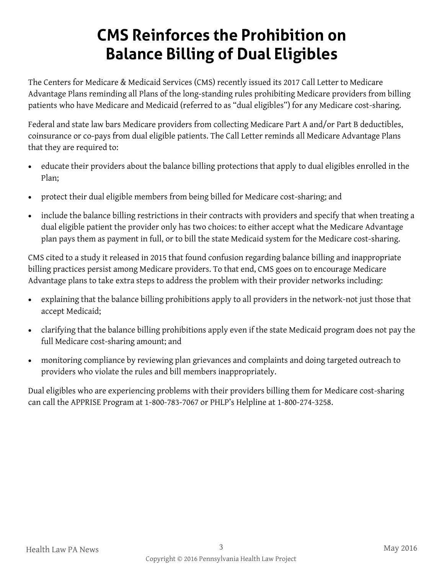# **CMS Reinforces the Prohibition on Balance Billing of Dual Eligibles**

The Centers for Medicare & Medicaid Services (CMS) recently issued its 2017 Call Letter to Medicare Advantage Plans reminding all Plans of the long-standing rules prohibiting Medicare providers from billing patients who have Medicare and Medicaid (referred to as "dual eligibles") for any Medicare cost-sharing.

Federal and state law bars Medicare providers from collecting Medicare Part A and/or Part B deductibles, coinsurance or co-pays from dual eligible patients. The Call Letter reminds all Medicare Advantage Plans that they are required to:

- educate their providers about the balance billing protections that apply to dual eligibles enrolled in the Plan;
- protect their dual eligible members from being billed for Medicare cost-sharing; and
- include the balance billing restrictions in their contracts with providers and specify that when treating a dual eligible patient the provider only has two choices: to either accept what the Medicare Advantage plan pays them as payment in full, or to bill the state Medicaid system for the Medicare cost-sharing.

CMS cited to a study it released in 2015 that found confusion regarding balance billing and inappropriate billing practices persist among Medicare providers. To that end, CMS goes on to encourage Medicare Advantage plans to take extra steps to address the problem with their provider networks including:

- explaining that the balance billing prohibitions apply to all providers in the network-not just those that accept Medicaid;
- clarifying that the balance billing prohibitions apply even if the state Medicaid program does not pay the full Medicare cost-sharing amount; and
- monitoring compliance by reviewing plan grievances and complaints and doing targeted outreach to providers who violate the rules and bill members inappropriately.

Dual eligibles who are experiencing problems with their providers billing them for Medicare cost-sharing can call the APPRISE Program at 1-800-783-7067 or PHLP's Helpline at 1-800-274-3258.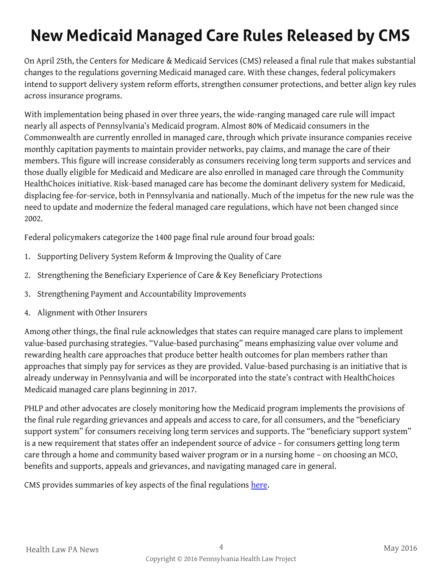# **New Medicaid Managed Care Rules Released by CMS**

On April 25th, the Centers for Medicare & Medicaid Services (CMS) released a final rule that makes substantial changes to the regulations governing Medicaid managed care. With these changes, federal policymakers intend to support delivery system reform efforts, strengthen consumer protections, and better align key rules across insurance programs.

With implementation being phased in over three years, the wide-ranging managed care rule will impact nearly all aspects of Pennsylvania's Medicaid program. Almost 80% of Medicaid consumers in the Commonwealth are currently enrolled in managed care, through which private insurance companies receive monthly capitation payments to maintain provider networks, pay claims, and manage the care of their members. This figure will increase considerably as consumers receiving long term supports and services and those dually eligible for Medicaid and Medicare are also enrolled in managed care through the Community HealthChoices initiative. Risk-based managed care has become the dominant delivery system for Medicaid, displacing fee-for-service, both in Pennsylvania and nationally. Much of the impetus for the new rule was the need to update and modernize the federal managed care regulations, which have not been changed since 2002.

Federal policymakers categorize the 1400 page final rule around four broad goals:

- 1. Supporting Delivery System Reform & Improving the Quality of Care
- 2. Strengthening the Beneficiary Experience of Care & Key Beneficiary Protections
- 3. Strengthening Payment and Accountability Improvements
- 4. Alignment with Other Insurers

Among other things, the final rule acknowledges that states can require managed care plans to implement value-based purchasing strategies. "Value-based purchasing" means emphasizing value over volume and rewarding health care approaches that produce better health outcomes for plan members rather than approaches that simply pay for services as they are provided. Value-based purchasing is an initiative that is already underway in Pennsylvania and will be incorporated into the state's contract with HealthChoices Medicaid managed care plans beginning in 2017.

PHLP and other advocates are closely monitoring how the Medicaid program implements the provisions of the final rule regarding grievances and appeals and access to care, for all consumers, and the "beneficiary support system" for consumers receiving long term services and supports. The "beneficiary support system" is a new requirement that states offer an independent source of advice – for consumers getting long term care through a home and community based waiver program or in a nursing home – on choosing an MCO, benefits and supports, appeals and grievances, and navigating managed care in general.

CMS provides summaries of key aspects of the final regulations [here.](https://www.medicaid.gov/medicaid-chip-program-information/by-topics/delivery-systems/managed-care/managed-care-final-rule.html)